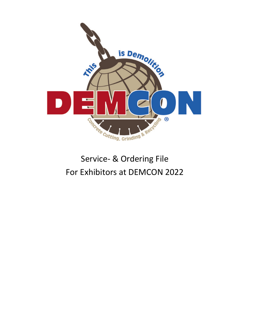

# Service- & Ordering File For Exhibitors at DEMCON 2022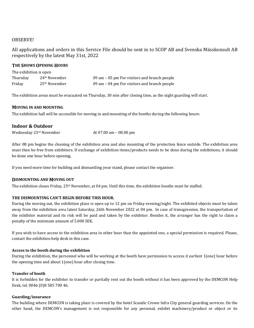# OBSERVE!

All applications and orders in this Service File should be sent in to SCOP AB and Svenska Mässkonsult AB respectively by the latest May 31st, 2022

# **THE SHOWS OPENING HOURS**

| The exhibition is open |                           |                                                |  |
|------------------------|---------------------------|------------------------------------------------|--|
| Thursday               | 24 <sup>th</sup> November | 09 am – 05 pm For visitors and branch people   |  |
| Friday                 | $25th$ November           | 09 am $-$ 04 pm For visitors and branch people |  |

The exhibition areas must be evacuated on Thursday, 30 min after closing time, as the night guarding will start.

# **MOVING IN AND MOUNTING**

The exhibition hall will be accessible for moving in and mounting of the booths during the following hours:

# **Indoor & Outdoor**

Wednesday 23<sup>rd</sup> November At 07.00 am - 08.00 pm

After 08 pm begins the cleaning of the exhibition area and also mounting of the protection fence outside. The exhibition area must then be free from exhibitors. If exchange of exhibition items/products needs to be done during the exhibitions, it should be done one hour before opening.

If you need more time for building and dismantling your stand, please contact the organiser.

# **DISMOUNTING AND MOVING OUT**

The exhibition closes Friday,  $25<sup>th</sup>$  November, at 04 pm. Until this time, the exhibition booths must be staffed.

# THE DISMOUNTING CAN'T BEGIN BEFORE THIS HOUR.

During the moving out, the exhibition place is open up to 12 pm on Friday evening/night. The exhibited objects must be taken away from the exhibition area latest Saturday, 26th November 2022 at 04 pm. In case of transgression, the transportation of the exhibitor material and its risk will be paid and taken by the exhibitor. Besides it, the arranger has the right to claim a penalty of the minimum amount of 5.000 SEK.

If you wish to have access to the exhibition area in other hour than the appointed one, a special permission is required. Please, contact the exhibition help desk in this case.

# Access to the booth during the exhibition

During the exhibition, the personnel who will be working at the booth have permission to access it earliest  $1($ one) hour before the opening time and about  $1($ one) hour after closing time.

# **Transfer of booth**

It is forbidden for the exhibitor to transfer or partially rent out the booth without it has been approved by the DEMCON Help Desk, tel. 0046 (0)8 585 700 46.

# **Guarding/insurance**

The building where DEMCON is taking place is covered by the hotel Scandic Crown Infra City general guarding services. On the other hand, the DEMCON's management is not responsible for any personal, exhibit machinery/product or object or its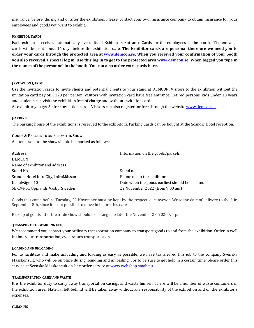insurance, before, during and or after the exhibition. Please, contact your own insurance company to obtain insurance for your employees and goods you want to exhibit.

# **EXHIBITOR CARDS**

Each exhibitor receives automatically five units of Exhibitors Entrance Cards for the employees at the booth. The entrance cards will be sent about 14 days before the exhibition date. **The Exhibitor cards are personal therefore we need you to** order your cards through the protected area at **www.demcon.se**. When you received your confirmation of your booth you also received a special log in. Use this log in to get to the protected area www.demcon.se. When logged you type in **the names of the personnel in the booth. You can also order extra cards here.** 

#### **INVITATION CARDS**

Use the invitation cards to invite clients and potential clients to your stand at DEMCON. Visitors to the exhibition without the invitation card pay SEK 120 per person. Visitors with invitation card have free entrance. Retired persons, kids under 18 years and students can visit the exhibition free of charge and without invitation card.

As exhibitor you get 50 free invitation cards. Visitors can also register for free through the website www.demcon.se.

#### **PARKING**

The parking house of the exhibitions is reserved to the exhibitors. Parking Cards can be bought at the Scandic Hotel reception.

#### **GOODS & PARCELS TO AND FROM THE SHOW**

All items sent to the show should be marked as follows:

| Address:                             | Information on the goods/parcels                |
|--------------------------------------|-------------------------------------------------|
| <b>DEMCON</b>                        |                                                 |
| Name of exhibitor and address        |                                                 |
| Stand No.                            | Stand no.                                       |
| Scandic Hotel InfraCity, InfraMässan | Phone no. to the exhibitor                      |
| Kanalvägen 10                        | Date when the goods earliest should be in stand |
| SE-194 61 Upplands Väsby, Sweden     | 22 November 2022 (from 9.00 am)                 |

Goods that come before Tuesday, 22 November must be kept by the respective conveyor. Write the date of delivery to the fair, September 8th, since it is not possible to move in before this date.

Pick up of goods after the trade show should be arrange no later the November 28, 20200, 4 pm.

#### **TRANSPORT, FORWARDING ETC.**

We recommend you contact your ordinary transportation company to transport goods to and from the exhibition. Order in well in time your transportation, even return transportation.

#### **LOADING AND UNLOADING**

For to facilitate and make unloading and loading as easy as possible, we have transferred this job to the company Svenska Mässkonsult, who will be on place during loanding and unloading. For to be sure to get help in a certain time, please order this service at Svenska Mässkonsult on-line order service at www.webshop.smab.nu.

# **TRANSPORTATION CASES AND WASTE**

It is the exhibitor duty to carry away transportation casings and waste himself. There will be a number of waste containers in the exhibition area. Material left behind will be taken away without any responsibility of the exhibition and on the exhibitor's expenses.

#### **CLEANING**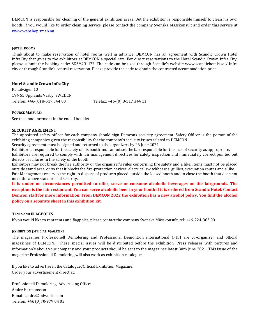DEMCON is responsible for cleaning of the general exhibition areas. But the exhibitor is responsible himself to clean his own booth. If you would like to order cleaning service, please contact the company Svenska Mässkonsult and order this service at www.webshop.smab.nu.

### **HOTEL ROOMS**

Think about to make reservation of hotel rooms well in advance. DEMCON has an agreement with Scandic Crown Hotel InfraCity that gives to the exhibitors at DEMCON a special rate. For direct reservations to the Hotel Scandic Crown Infra City, please submit the booking code: BDEM201122. The code can be used through Scandic's website www.scandichotels.se / Infra city or through Scandic's central reservation. Please provide the code to obtain the contracted accommodation price.

# **Hotel Scandic Crown InfraCity**

Kanalvägen 10 194 61 Upplands Väsby, SWEDEN Telefon: +46-(0) 8-517 344 00 Telefax: +46-(0) 8-517 344 11

#### **FOURCE MAJEURE:**

See the announcement in the end of booklet.

#### **SECURITY AGREEMENT**

The appointed safety officer for each company should sign Demcons security agreement. Safety Officer is the person of the exhibiting companies given the responsibility for the company's security issues related to DEMCON.

Security agreement must be signed and returned to the organizers by 26 June 2021.

Exhibitor is responsible for the safety of his booth and cannot set the fair responsible for the lack of security as appropriate. Exhibitors are required to comply with fair management directives for safety inspection and immediately correct pointed out defects or failures in the safety of the booth.

Exhibitors may not break the fire authority or the organizer's rules concerning fire safety and a like. Items must not be placed outside stand area, or so that it blocks the fire-protection devices, electrical switchboards, gullies, evacuation routes and a like. Fair Management reserves the right to dispose of products placed outside the leased booth and to close the booth that does not meet the above standards of security.

It is under no circumstances permitted to offer, serve or consume alcoholic beverages on the fairgrounds. The **exception** is the fair restaurant. You can serve alcoholic beer in your booth if it is ordered from Scandic Hotel. Contact **Demcon staff for more information. From DEMCON 2022 the exhibition has a new alcohol policy. You find the alcohol policy** on a separate sheet in this exhibition kit.

# **TENTS AND FLAGPOLES**

If you would like to rent tents and flagpoles, please contact the company Svenska Mässkonsult, tel:  $+46-224-86300$ 

#### **EXHIBITION OFFICIAL MAGAZINE**

The magazines Professionell Demolering and Professional Demolition international (PDi) are co-organizer and official magazines of DEMCON. These special issues will be distributed before the exhibition. Press releases with pictures and information's about your company and your products should be sent to the magazines latest 30th June 2021. This issue of the magazine Professionell Demolering will also work as exhibition catalogue.

If you like to advertise in the Catalogue/Official Exhibition Magazine: Order your advertisement direct at:

Professionell Demolering, Advertising Office: André Hermansson E-mail: andre@pdworld.com Telefon: +46 (0)70-979 04 03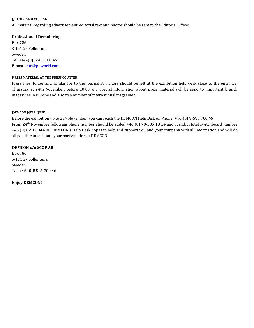#### **EDITORIAL MATERIAL**

All material regarding advertisement, editorial text and photos should be sent to the Editorial Office:

# **Professionell Demolering**

Box 786 S-191 27 Sollentuna Sweden Tel: +46-(0)8-585 700 46 E-post: info@pdworld.com

# **PRESS MATERIAL AT THE PRESS COUNTER**

Press files, folder and similar for to the journalist visitors should be left at the exhibition help desk close to the entrance, Thursday at 24th November, before 10.00 am. Special information about press material will be send to important branch magazines in Europe and also to a number of international magazines.

# **DEMCON HELP DESK**

Before the exhibition up to 23<sup>rd</sup> November you can reach the DEMCON Help Disk on Phone: +46-(0) 8-585 700 46 From 24<sup>th</sup> November following phone number should be added +46 (0) 70-585 18 24 and Scandic Hotel switchboard number +46 (0) 8-517 344 00. DEMCON's Help Desk hopes to help and support you and your company with all information and will do all possible to facilitate your participation at DEMCON.

# **DEMCON c/o SCOP AB**

Box 786 S-191 27 Sollentuna Sweden Tel: +46 (0)8 585 700 46

**Enjoy DEMCON!**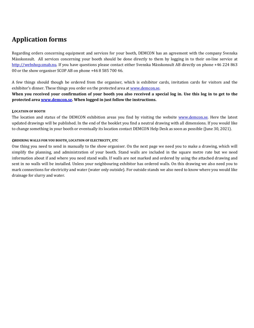# **Application forms**

Regarding orders concerning equipment and services for your booth, DEMCON has an agreement with the company Svenska Mässkonsult. All services concerning your booth should be done directly to them by logging in to their on-line service at http://webshop.smab.nu. If you have questions please contact either Svenska Mässkonsult AB directly on phone +46 224 863 00 or the show organiser SCOP AB on phone +46 8 585 700 46.

A few things should though be ordered from the organiser, which is exhibitor cards, invitation cards for visitors and the exhibitor's dinner. These things you order on the protected area at www.demcon.se.

When vou received your confirmation of your booth you also received a special log in. Use this log in to get to the protected area **www.demcon.se**. When logged in just follow the instructions.

# **LOCATION OF BOOTH**

The location and status of the DEMCON exhibition areas you find by visiting the website www.demcon.se. Here the latest updated drawings will be published. In the end of the booklet you find a neutral drawing with all dimensions. If you would like to change something in your booth or eventually its location contact DEMCON Help Desk as soon as possible (June 30, 2021).

# **ORDERING WALLS FOR YOU BOOTH, LOCATION OF ELECTRICITY, ETC**

One thing you need to send in manually to the show organiser. On the next page we need you to make a drawing, which will simplify the planning, and administration of your booth. Stand walls are included in the square metre rate but we need information about if and where you need stand walls. If walls are not marked and ordered by using the attached drawing and sent in no walls will be installed. Unless your neighbouring exhibitor has ordered walls. On this drawing we also need you to mark connections for electricity and water (water only outside). For outside stands we also need to know where you would like drainage for slurry and water.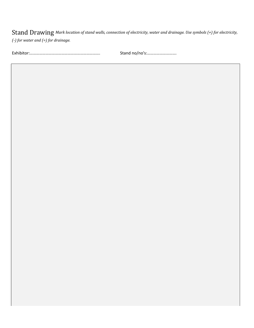Stand Drawing Mark location of stand walls, connection of electricity, water and drainage. Use symbols (+) for electricity, *(-) for water and (=) for drainage.* 

Exhibitor:…………………………………………………………. Stand no/no's:……………………….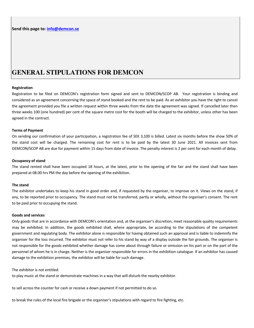# **GENERAL STIPULATIONS FOR DEMCON**

#### **Registration**

Registration to be filed on DEMCON's registration form signed and sent to DEMCON/SCOP AB. Your registration is binding and considered as an agreement concerning the space of stand booked and the rent to be paid. As an exhibitor you have the right to cancel the agreement provided you file a written request within three weeks from the date the agreement was signed. If cancelled later then three weeks 100 (one hundred) per cent of the square metre cost for the booth will be charged to the exhibitor, unless other has been agreed in the contract.

#### **Terms of Payment**

On sending our confirmation of your participation, a registration fee of SEK 3,100 is billed. Latest six months before the show 50% of the stand cost will be charged. The remaining cost for rent is to be paid by the latest 30 June 2021. All invoices sent from DEMCON/SCOP AB are due for payment within 15 days from date of invoice. The penalty interest is 2 per cent for each month of delay.

#### **Occupancy of stand**

The stand rented shall have been occupied 18 hours, at the latest, prior to the opening of the fair and the stand shall have been prepared at 08.00 hrs PM the day before the opening of the exhibition.

#### **The stand**

The exhibitor undertakes to keep his stand in good order and, if requested by the organiser, to improve on it. Views on the stand, if any, to be reported prior to occupancy. The stand must not be transferred, partly or wholly, without the organiser's consent. The rent to be paid prior to occupying the stand.

#### **Goods and services**

Only goods that are in accordance with DEMCON's orientation and, at the organiser's discretion, meet reasonable quality requirements may be exhibited. In addition, the goods exhibited shall, where appropriate, be according to the stipulations of the competent government and regulating body. The exhibitor alone is responsible for having obtained such an approval and is liable to indemnify the organiser for the loss incurred. The exhibitor must not refer to his stand by way of a display outside the fair grounds. The organiser is not responsible for the goods exhibited whether damage has come about through failure or omission on his part or on the part of the personnel of whom he is in charge. Neither is the organiser responsible for errors in the exhibition catalogue. If an exhibitor has caused damage to the exhibition premises, the exhibitor will be liable for such damage.

The exhibitor is not entitled:

to play music at the stand or demonstrate machines in a way that will disturb the nearby exhibitor.

to sell across the counter for cash or receive a down payment if not permitted to do so.

to break the rules of the local fire brigade or the organiser's stipulations with regard to fire fighting, etc.